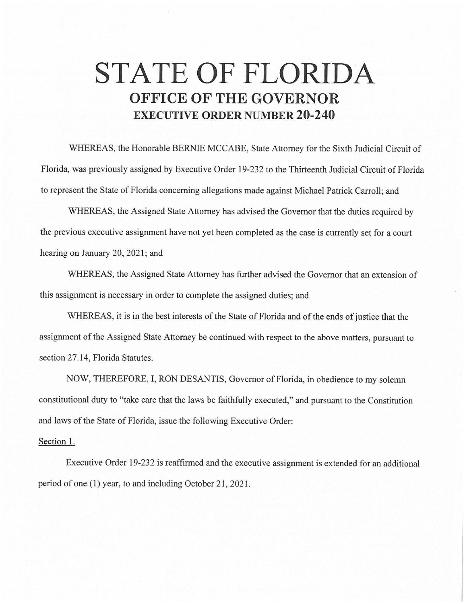## **STATE OF FLORIDA OFFICE OF THE GOVERNOR EXECUTIVE ORDER NUMBER 20-240**

WHEREAS, the Honorable BERNIE MCCABE, State Attorney for the Sixth Judicial Circuit of Florida, was previously assigned by Executive Order 19-232 to the Thirteenth Judicial Circuit of Florida to represent the State of Florida concerning allegations made against Michael Patrick Carroll; and

WHEREAS, the Assigned State Attorney has advised the Governor that the duties required by the previous executive assignment have not yet been completed as the case is currently set for a court hearing on January 20, 2021; and

WHEREAS, the Assigned State Attorney has further advised the Governor that an extension of this assignment is necessary in order to complete the assigned duties; and

WHEREAS, it is in the best interests of the State of Florida and of the ends of justice that the assignment of the Assigned State Attorney be continued with respect to the above matters, pursuant to section 27.14, Florida Statutes.

NOW, THEREFORE, I, RON DESANTIS, Governor of Florida, in obedience to my solemn constitutional duty to "take care that the laws be faithfully executed," and pursuant to the Constitution and laws of the State of Florida, issue the following Executive Order:

## Section 1.

Executive Order 19-232 is reaffirmed and the executive assignment is extended for an additional period of one (1) year, to and including October 21, 2021.